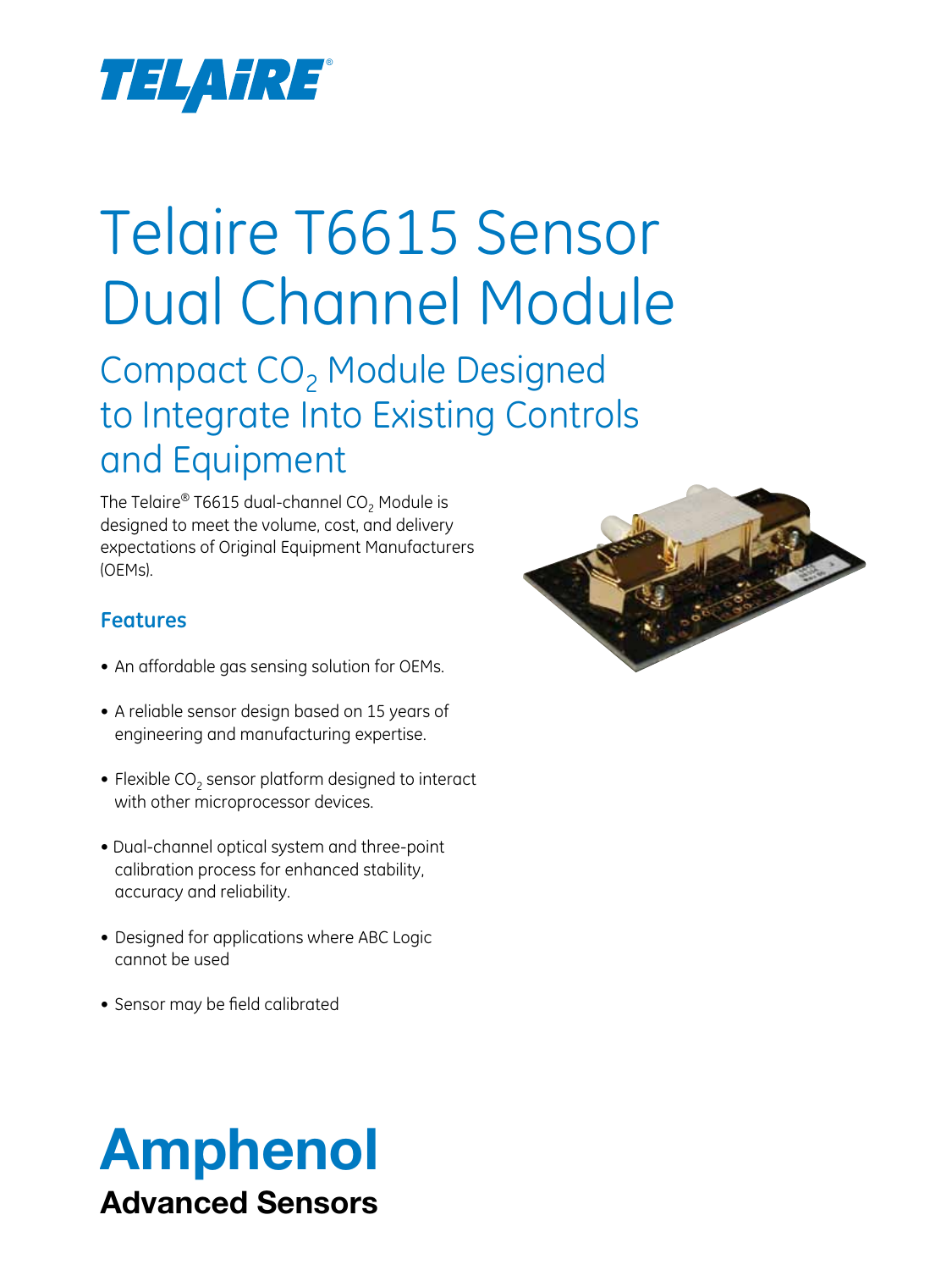

# Telaire T6615 Sensor Dual Channel Module

Compact CO<sub>2</sub> Module Designed to Integrate Into Existing Controls and Equipment

The Telaire® T6615 dual-channel  $CO<sub>2</sub>$  Module is designed to meet the volume, cost, and delivery expectations of Original Equipment Manufacturers (OEMs).

## **Features**

- An affordable gas sensing solution for OEMs.
- A reliable sensor design based on 15 years of engineering and manufacturing expertise.
- Flexible  $CO<sub>2</sub>$  sensor platform designed to interact with other microprocessor devices.
- Dual-channel optical system and three-point calibration process for enhanced stability, accuracy and reliability.
- Designed for applications where ABC Logic cannot be used
- Sensor may be field calibrated



## Amphenol Advanced Sensors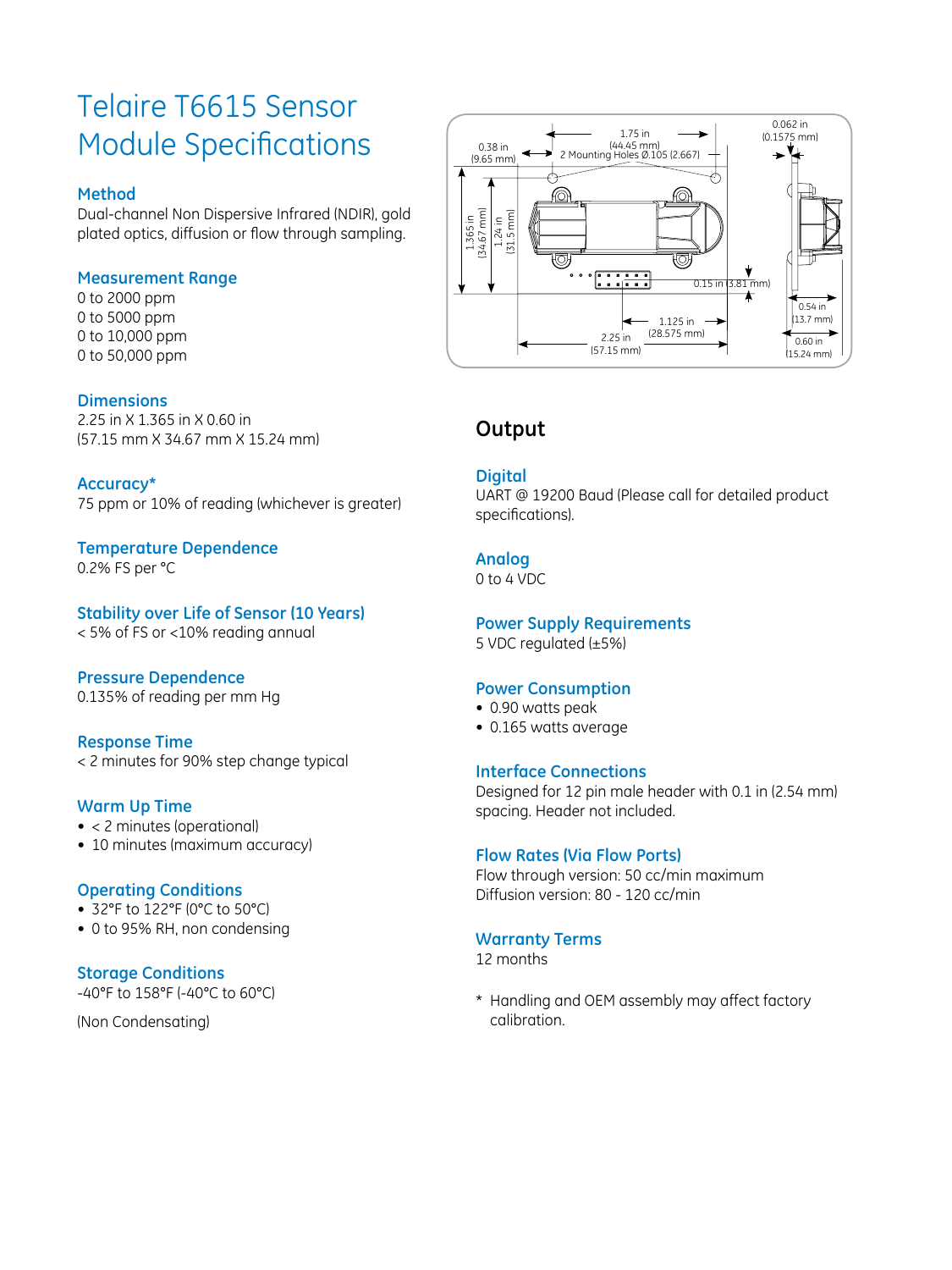## Telaire T6615 Sensor Module Specifications

## **Method**

Dual-channel Non Dispersive Infrared (NDIR), gold plated optics, diffusion or flow through sampling.

## **Measurement Range**

0 to 2000 ppm 0 to 5000 ppm 0 to 10,000 ppm 0 to 50,000 ppm

#### **Dimensions**

2.25 in X 1.365 in X 0.60 in (57.15 mm X 34.67 mm X 15.24 mm)

#### **Accuracy\***

75 ppm or 10% of reading (whichever is greater)

## **Temperature Dependence**

0.2% FS per °C

## **Stability over Life of Sensor (10 Years)**

< 5% of FS or <10% reading annual

## **Pressure Dependence**

0.135% of reading per mm Hg

## **Response Time**

< 2 minutes for 90% step change typical

## **Warm Up Time**

- < 2 minutes (operational)
- 10 minutes (maximum accuracy)

## **Operating Conditions**

- 32°F to 122°F (0°C to 50°C)
- 0 to 95% RH, non condensing

## **Storage Conditions**

-40°F to 158°F (-40°C to 60°C)

(Non Condensating)



## **Output**

#### **Digital**

UART @ 19200 Baud (Please call for detailed product specifications).

## **Analog**

0 to 4 VDC

## **Power Supply Requirements**

5 VDC regulated (±5%)

## **Power Consumption**

- 0.90 watts peak
- 0.165 watts average

#### **Interface Connections**

Designed for 12 pin male header with 0.1 in (2.54 mm) spacing. Header not included.

## **Flow Rates (Via Flow Ports)**

Flow through version: 50 cc/min maximum Diffusion version: 80 - 120 cc/min

## **Warranty Terms**

12 months

\* Handling and OEM assembly may affect factory calibration.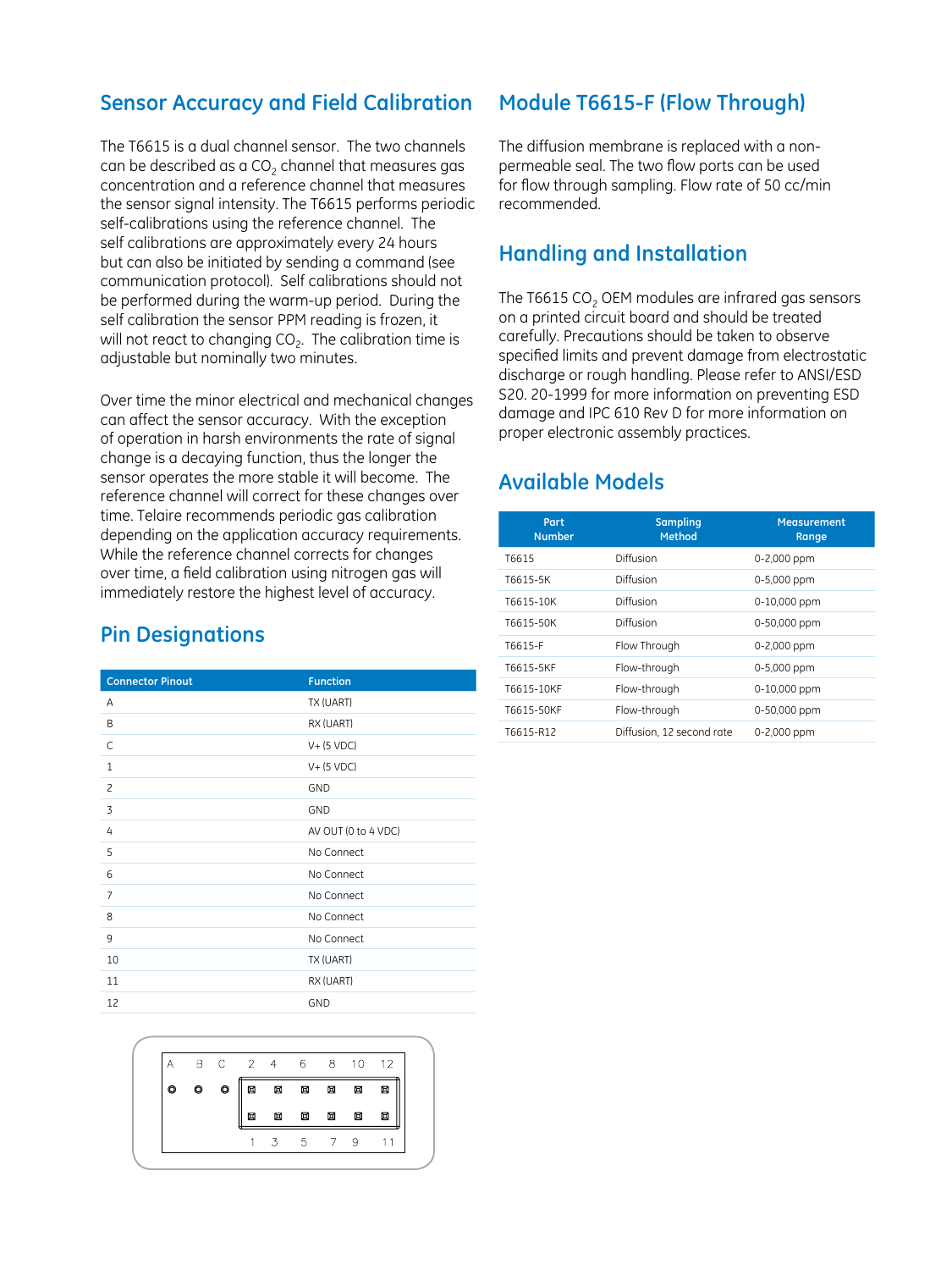## **Sensor Accuracy and Field Calibration**

The T6615 is a dual channel sensor. The two channels can be described as a  $CO<sub>2</sub>$  channel that measures gas concentration and a reference channel that measures the sensor signal intensity. The T6615 performs periodic self-calibrations using the reference channel. The self calibrations are approximately every 24 hours but can also be initiated by sending a command (see communication protocol). Self calibrations should not be performed during the warm-up period. During the self calibration the sensor PPM reading is frozen, it will not react to changing  $CO<sub>2</sub>$ . The calibration time is adjustable but nominally two minutes.

Over time the minor electrical and mechanical changes can affect the sensor accuracy. With the exception of operation in harsh environments the rate of signal change is a decaying function, thus the longer the sensor operates the more stable it will become. The reference channel will correct for these changes over time. Telaire recommends periodic gas calibration depending on the application accuracy requirements. While the reference channel corrects for changes over time, a field calibration using nitrogen gas will immediately restore the highest level of accuracy.

## **Pin Designations**

| <b>Connector Pinout</b> | <b>Function</b>     |  |
|-------------------------|---------------------|--|
| A                       | TX (UART)           |  |
| B                       | RX (UART)           |  |
| C                       | $V+$ (5 VDC)        |  |
| $\mathbf{1}$            | $V+$ (5 VDC)        |  |
| 2                       | <b>GND</b>          |  |
| 3                       | GND                 |  |
| 4                       | AV OUT (0 to 4 VDC) |  |
| 5                       | No Connect          |  |
| 6                       | No Connect          |  |
| 7                       | No Connect          |  |
| 8                       | No Connect          |  |
| 9                       | No Connect          |  |
| 10                      | TX (UART)           |  |
| 11                      | RX (UART)           |  |
| 12                      | GND                 |  |



## **Module T6615-F (Flow Through)**

The diffusion membrane is replaced with a nonpermeable seal. The two flow ports can be used for flow through sampling. Flow rate of 50 cc/min recommended.

## **Handling and Installation**

The T6615  $CO<sub>2</sub>$  OEM modules are infrared gas sensors on a printed circuit board and should be treated carefully. Precautions should be taken to observe specified limits and prevent damage from electrostatic discharge or rough handling. Please refer to ANSI/ESD S20. 20-1999 for more information on preventing ESD damage and IPC 610 Rev D for more information on proper electronic assembly practices.

## **Available Models**

| Part<br><b>Number</b> | <b>Sampling</b><br>Method | Measurement<br>Range |
|-----------------------|---------------------------|----------------------|
| T6615                 | Diffusion                 | 0-2,000 ppm          |
| T6615-5K              | Diffusion                 | 0-5,000 ppm          |
| T6615-10K             | Diffusion                 | 0-10,000 ppm         |
| T6615-50K             | Diffusion                 | 0-50,000 ppm         |
| T6615-F               | Flow Through              | 0-2,000 ppm          |
| T6615-5KF             | Flow-through              | 0-5,000 ppm          |
| T6615-10KF            | Flow-through              | 0-10,000 ppm         |
| T6615-50KF            | Flow-through              | 0-50,000 ppm         |
| T6615-R12             | Diffusion, 12 second rate | 0-2,000 ppm          |